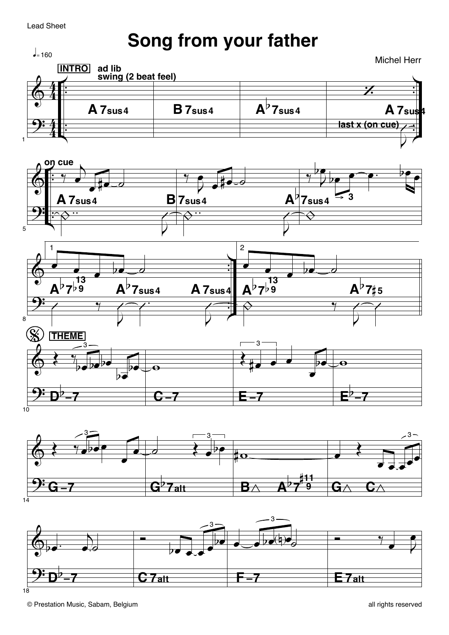**Lead Sheet** 

## Song from your father

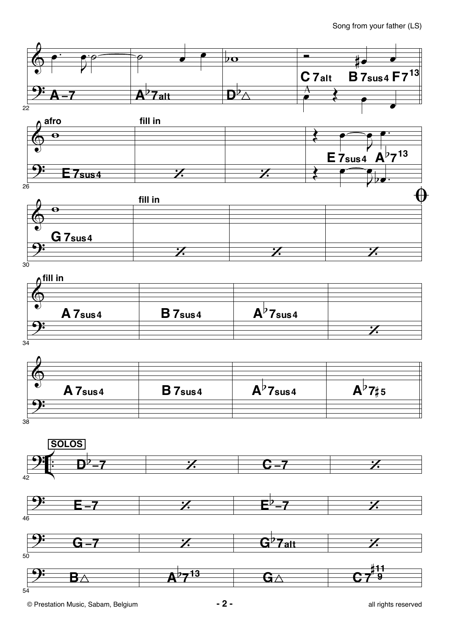Song from your father (LS)